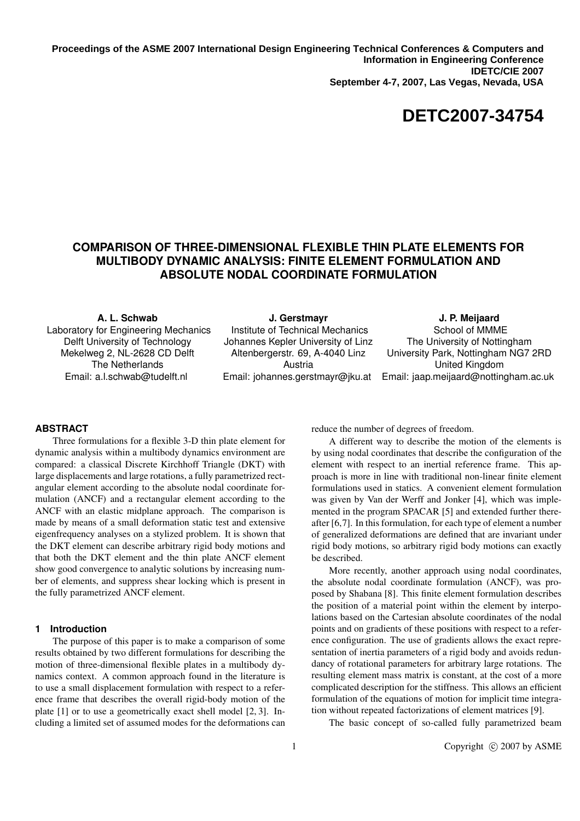**Proceedings of the ASME 2007 International Design Engineering Technical Conferences & Computers and Information in Engineering Conference IDETC/CIE 2007 September 4-7, 2007, Las Vegas, Nevada, USA**

# **DETC2007-34754**

## **COMPARISON OF THREE-DIMENSIONAL FLEXIBLE THIN PLATE ELEMENTS FOR MULTIBODY DYNAMIC ANALYSIS: FINITE ELEMENT FORMULATION AND ABSOLUTE NODAL COORDINATE FORMULATION**

**A. L. Schwab**

Laboratory for Engineering Mechanics Delft University of Technology Mekelweg 2, NL-2628 CD Delft The Netherlands Email: a.l.schwab@tudelft.nl

**J. Gerstmayr** Institute of Technical Mechanics Johannes Kepler University of Linz Altenbergerstr. 69, A-4040 Linz Austria Email: johannes.gerstmayr@jku.at

**J. P. Meijaard** School of MMME The University of Nottingham University Park, Nottingham NG7 2RD United Kingdom Email: jaap.meijaard@nottingham.ac.uk

#### **ABSTRACT**

Three formulations for a flexible 3-D thin plate element for dynamic analysis within a multibody dynamics environment are compared: a classical Discrete Kirchhoff Triangle (DKT) with large displacements and large rotations, a fully parametrized rectangular element according to the absolute nodal coordinate formulation (ANCF) and a rectangular element according to the ANCF with an elastic midplane approach. The comparison is made by means of a small deformation static test and extensive eigenfrequency analyses on a stylized problem. It is shown that the DKT element can describe arbitrary rigid body motions and that both the DKT element and the thin plate ANCF element show good convergence to analytic solutions by increasing number of elements, and suppress shear locking which is present in the fully parametrized ANCF element.

#### **1 Introduction**

The purpose of this paper is to make a comparison of some results obtained by two different formulations for describing the motion of three-dimensional flexible plates in a multibody dynamics context. A common approach found in the literature is to use a small displacement formulation with respect to a reference frame that describes the overall rigid-body motion of the plate [1] or to use a geometrically exact shell model [2, 3]. Including a limited set of assumed modes for the deformations can reduce the number of degrees of freedom.

A different way to describe the motion of the elements is by using nodal coordinates that describe the configuration of the element with respect to an inertial reference frame. This approach is more in line with traditional non-linear finite element formulations used in statics. A convenient element formulation was given by Van der Werff and Jonker [4], which was implemented in the program SPACAR [5] and extended further thereafter [6,7]. In this formulation, for each type of element a number of generalized deformations are defined that are invariant under rigid body motions, so arbitrary rigid body motions can exactly be described.

More recently, another approach using nodal coordinates, the absolute nodal coordinate formulation (ANCF), was proposed by Shabana [8]. This finite element formulation describes the position of a material point within the element by interpolations based on the Cartesian absolute coordinates of the nodal points and on gradients of these positions with respect to a reference configuration. The use of gradients allows the exact representation of inertia parameters of a rigid body and avoids redundancy of rotational parameters for arbitrary large rotations. The resulting element mass matrix is constant, at the cost of a more complicated description for the stiffness. This allows an efficient formulation of the equations of motion for implicit time integration without repeated factorizations of element matrices [9].

The basic concept of so-called fully parametrized beam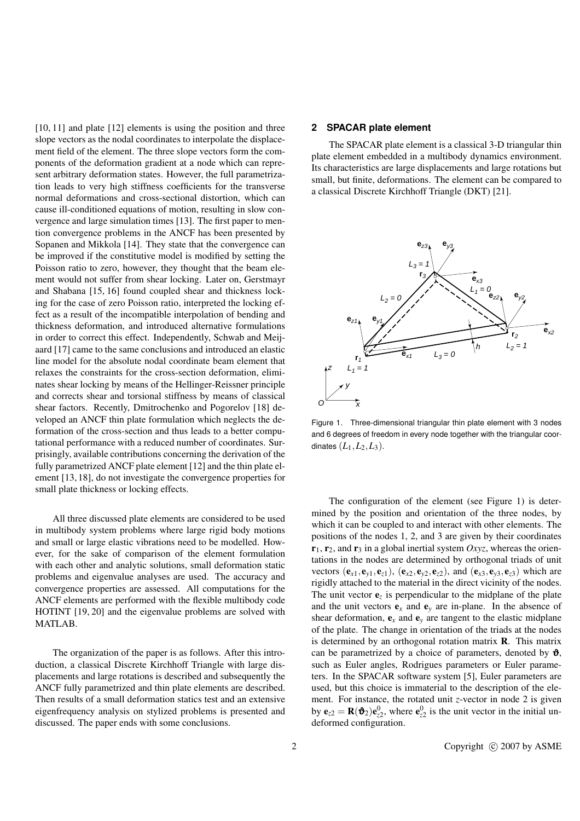[10, 11] and plate [12] elements is using the position and three slope vectors as the nodal coordinates to interpolate the displacement field of the element. The three slope vectors form the components of the deformation gradient at a node which can represent arbitrary deformation states. However, the full parametrization leads to very high stiffness coefficients for the transverse normal deformations and cross-sectional distortion, which can cause ill-conditioned equations of motion, resulting in slow convergence and large simulation times [13]. The first paper to mention convergence problems in the ANCF has been presented by Sopanen and Mikkola [14]. They state that the convergence can be improved if the constitutive model is modified by setting the Poisson ratio to zero, however, they thought that the beam element would not suffer from shear locking. Later on, Gerstmayr and Shabana [15, 16] found coupled shear and thickness locking for the case of zero Poisson ratio, interpreted the locking effect as a result of the incompatible interpolation of bending and thickness deformation, and introduced alternative formulations in order to correct this effect. Independently, Schwab and Meijaard [17] came to the same conclusions and introduced an elastic line model for the absolute nodal coordinate beam element that relaxes the constraints for the cross-section deformation, eliminates shear locking by means of the Hellinger-Reissner principle and corrects shear and torsional stiffness by means of classical shear factors. Recently, Dmitrochenko and Pogorelov [18] developed an ANCF thin plate formulation which neglects the deformation of the cross-section and thus leads to a better computational performance with a reduced number of coordinates. Surprisingly, available contributions concerning the derivation of the fully parametrized ANCF plate element [12] and the thin plate element [13, 18], do not investigate the convergence properties for small plate thickness or locking effects.

All three discussed plate elements are considered to be used in multibody system problems where large rigid body motions and small or large elastic vibrations need to be modelled. However, for the sake of comparison of the element formulation with each other and analytic solutions, small deformation static problems and eigenvalue analyses are used. The accuracy and convergence properties are assessed. All computations for the ANCF elements are performed with the flexible multibody code HOTINT [19, 20] and the eigenvalue problems are solved with MATLAB.

The organization of the paper is as follows. After this introduction, a classical Discrete Kirchhoff Triangle with large displacements and large rotations is described and subsequently the ANCF fully parametrized and thin plate elements are described. Then results of a small deformation statics test and an extensive eigenfrequency analysis on stylized problems is presented and discussed. The paper ends with some conclusions.

### **2 SPACAR plate element**

The SPACAR plate element is a classical 3-D triangular thin plate element embedded in a multibody dynamics environment. Its characteristics are large displacements and large rotations but small, but finite, deformations. The element can be compared to a classical Discrete Kirchhoff Triangle (DKT) [21].



Figure 1. Three-dimensional triangular thin plate element with 3 nodes and 6 degrees of freedom in every node together with the triangular coordinates  $(L_1, L_2, L_3)$ .

The configuration of the element (see Figure 1) is determined by the position and orientation of the three nodes, by which it can be coupled to and interact with other elements. The positions of the nodes 1, 2, and 3 are given by their coordinates  $r_1$ ,  $r_2$ , and  $r_3$  in a global inertial system *Oxyz*, whereas the orientations in the nodes are determined by orthogonal triads of unit vectors  $(e_{x1}, e_{y1}, e_{z1})$ ,  $(e_{x2}, e_{y2}, e_{z2})$ , and  $(e_{x3}, e_{y3}, e_{z3})$  which are rigidly attached to the material in the direct vicinity of the nodes. The unit vector  $e_z$  is perpendicular to the midplane of the plate and the unit vectors  $e_x$  and  $e_y$  are in-plane. In the absence of shear deformation,  ${\bf e}_x$  and  ${\bf e}_y$  are tangent to the elastic midplane of the plate. The change in orientation of the triads at the nodes is determined by an orthogonal rotation matrix  $\bf{R}$ . This matrix can be parametrized by a choice of parameters, denoted by  $\mathbf{\hat{v}}$ , such as Euler angles, Rodrigues parameters or Euler parameters. In the SPACAR software system [5], Euler parameters are used, but this choice is immaterial to the description of the element. For instance, the rotated unit *z*-vector in node 2 is given by  $\mathbf{e}_{z2} = \mathbf{R}(\mathbf{\hat{v}}_2)\mathbf{e}_{z2}^0$ , where  $\mathbf{e}_{z2}^0$  is the unit vector in the initial undeformed configuration.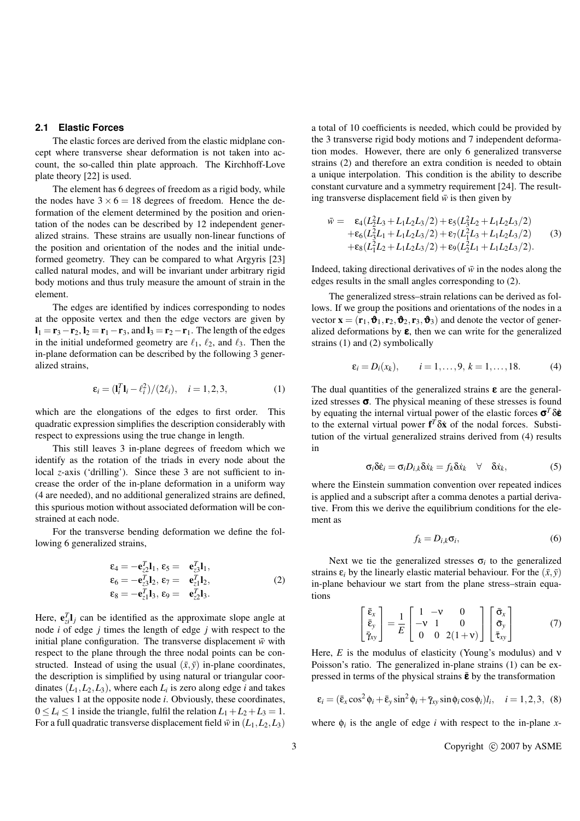#### **2.1 Elastic Forces**

The elastic forces are derived from the elastic midplane concept where transverse shear deformation is not taken into account, the so-called thin plate approach. The Kirchhoff-Love plate theory [22] is used.

The element has 6 degrees of freedom as a rigid body, while the nodes have  $3 \times 6 = 18$  degrees of freedom. Hence the deformation of the element determined by the position and orientation of the nodes can be described by 12 independent generalized strains. These strains are usually non-linear functions of the position and orientation of the nodes and the initial undeformed geometry. They can be compared to what Argyris [23] called natural modes, and will be invariant under arbitrary rigid body motions and thus truly measure the amount of strain in the element.

The edges are identified by indices corresponding to nodes at the opposite vertex and then the edge vectors are given by  $\mathbf{l}_1 = \mathbf{r}_3 - \mathbf{r}_2$ ,  $\mathbf{l}_2 = \mathbf{r}_1 - \mathbf{r}_3$ , and  $\mathbf{l}_3 = \mathbf{r}_2 - \mathbf{r}_1$ . The length of the edges in the initial undeformed geometry are  $\ell_1$ ,  $\ell_2$ , and  $\ell_3$ . Then the in-plane deformation can be described by the following 3 generalized strains,

$$
\varepsilon_i = (\mathbf{l}_i^T \mathbf{l}_i - \ell_i^2)/(2\ell_i), \quad i = 1, 2, 3,
$$
 (1)

which are the elongations of the edges to first order. This quadratic expression simplifies the description considerably with respect to expressions using the true change in length.

This still leaves 3 in-plane degrees of freedom which we identify as the rotation of the triads in every node about the local *z*-axis ('drilling'). Since these 3 are not sufficient to increase the order of the in-plane deformation in a uniform way (4 are needed), and no additional generalized strains are defined, this spurious motion without associated deformation will be constrained at each node.

For the transverse bending deformation we define the following 6 generalized strains,

$$
\varepsilon_4 = -\mathbf{e}_{z2}^T \mathbf{l}_1, \ \varepsilon_5 = \mathbf{e}_{z3}^T \mathbf{l}_1, \n\varepsilon_6 = -\mathbf{e}_{z3}^T \mathbf{l}_2, \ \varepsilon_7 = \mathbf{e}_{z1}^T \mathbf{l}_2, \n\varepsilon_8 = -\mathbf{e}_{z1}^T \mathbf{l}_3, \ \varepsilon_9 = \mathbf{e}_{z2}^T \mathbf{l}_3.
$$
\n(2)

Here,  $e_{zi}^T \mathbf{l}_j$  can be identified as the approximate slope angle at node *i* of edge *j* times the length of edge *j* with respect to the initial plane configuration. The transverse displacement  $\bar{w}$  with respect to the plane through the three nodal points can be constructed. Instead of using the usual  $(\bar{x}, \bar{y})$  in-plane coordinates, the description is simplified by using natural or triangular coordinates  $(L_1, L_2, L_3)$ , where each  $L_i$  is zero along edge *i* and takes the values 1 at the opposite node *i*. Obviously, these coordinates,  $0 \le L_i \le 1$  inside the triangle, fulfil the relation  $L_1 + L_2 + L_3 = 1$ . For a full quadratic transverse displacement field  $\bar{w}$  in ( $L_1, L_2, L_3$ ) a total of 10 coefficients is needed, which could be provided by the 3 transverse rigid body motions and 7 independent deformation modes. However, there are only 6 generalized transverse strains (2) and therefore an extra condition is needed to obtain a unique interpolation. This condition is the ability to describe constant curvature and a symmetry requirement [24]. The resulting transverse displacement field  $\bar{w}$  is then given by

$$
\bar{w} = \epsilon_4 (L_2^2 L_3 + L_1 L_2 L_3 / 2) + \epsilon_5 (L_3^2 L_2 + L_1 L_2 L_3 / 2) \n+ \epsilon_6 (L_3^2 L_1 + L_1 L_2 L_3 / 2) + \epsilon_7 (L_1^2 L_3 + L_1 L_2 L_3 / 2) \n+ \epsilon_8 (L_1^2 L_2 + L_1 L_2 L_3 / 2) + \epsilon_9 (L_2^2 L_1 + L_1 L_2 L_3 / 2).
$$
\n(3)

Indeed, taking directional derivatives of  $\bar{w}$  in the nodes along the edges results in the small angles corresponding to (2).

The generalized stress–strain relations can be derived as follows. If we group the positions and orientations of the nodes in a vector  $\mathbf{x} = (\mathbf{r}_1, \mathbf{\hat{v}}_1, \mathbf{r}_2, \mathbf{\hat{v}}_2, \mathbf{r}_3, \mathbf{\hat{v}}_3)$  and denote the vector of generalized deformations by  $\varepsilon$ , then we can write for the generalized strains (1) and (2) symbolically

$$
\varepsilon_i = D_i(x_k), \qquad i = 1, ..., 9, k = 1, ..., 18.
$$
 (4)

The dual quantities of the generalized strains  $\varepsilon$  are the generalized stresses  $\sigma$ . The physical meaning of these stresses is found by equating the internal virtual power of the elastic forces  $\sigma^T \delta \dot{\epsilon}$ to the external virtual power  $f^T \delta \dot{x}$  of the nodal forces. Substitution of the virtual generalized strains derived from (4) results in

$$
\sigma_i \delta \dot{\varepsilon}_i = \sigma_i D_{i,k} \delta \dot{x}_k = f_k \delta \dot{x}_k \quad \forall \quad \delta \dot{x}_k,
$$
 (5)

where the Einstein summation convention over repeated indices is applied and a subscript after a comma denotes a partial derivative. From this we derive the equilibrium conditions for the element as

$$
f_k = D_{i,k} \sigma_i, \tag{6}
$$

Next we tie the generalized stresses  $\sigma_i$  to the generalized strains  $\varepsilon_i$  by the linearly elastic material behaviour. For the  $(\bar{x}, \bar{y})$ in-plane behaviour we start from the plane stress–strain equations  $\overline{r}$ 

$$
\begin{bmatrix} \bar{\mathbf{\varepsilon}}_{x} \\ \bar{\mathbf{\varepsilon}}_{y} \\ \bar{\gamma}_{xy} \end{bmatrix} = \frac{1}{E} \begin{bmatrix} 1 & -\mathbf{v} & 0 \\ -\mathbf{v} & 1 & 0 \\ 0 & 0 & 2(1+\mathbf{v}) \end{bmatrix} \begin{bmatrix} \bar{\mathbf{\sigma}}_{x} \\ \bar{\mathbf{\sigma}}_{y} \\ \bar{\mathbf{\varepsilon}}_{xy} \end{bmatrix}
$$
(7)

Here, *E* is the modulus of elasticity (Young's modulus) and ν Poisson's ratio. The generalized in-plane strains (1) can be expressed in terms of the physical strains  $\bar{\epsilon}$  by the transformation

$$
\varepsilon_i = (\bar{\varepsilon}_x \cos^2 \phi_i + \bar{\varepsilon}_y \sin^2 \phi_i + \bar{\gamma}_{xy} \sin \phi_i \cos \phi_i) l_i, \quad i = 1, 2, 3, (8)
$$

where  $\phi_i$  is the angle of edge *i* with respect to the in-plane *x*-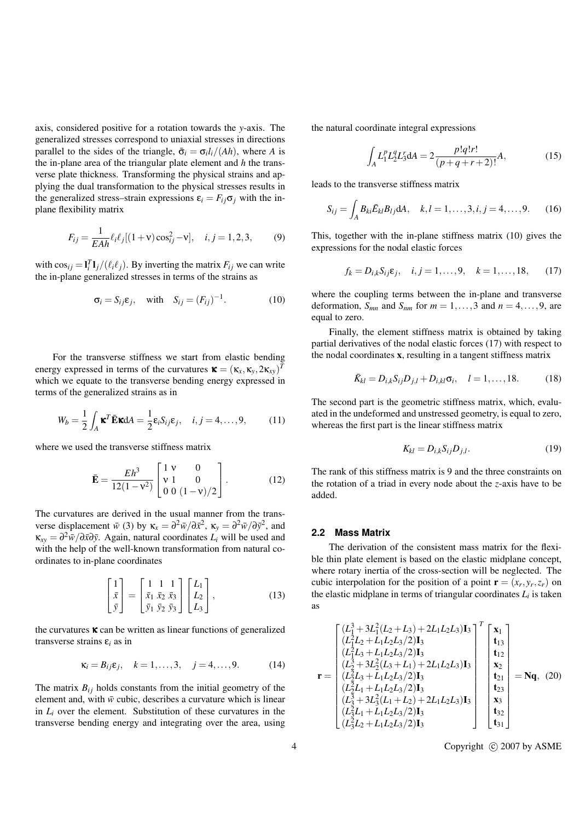axis, considered positive for a rotation towards the *y*-axis. The generalized stresses correspond to uniaxial stresses in directions parallel to the sides of the triangle,  $\bar{\sigma}_i = \sigma_i l_i/(Ah)$ , where *A* is the in-plane area of the triangular plate element and *h* the transverse plate thickness. Transforming the physical strains and applying the dual transformation to the physical stresses results in the generalized stress–strain expressions  $\varepsilon_i = F_i \sigma_j$  with the inplane flexibility matrix

$$
F_{ij} = \frac{1}{E A h} \ell_i \ell_j [(1 + v) \cos_{ij}^2 - v], \quad i, j = 1, 2, 3,
$$
 (9)

with  $\cos_{ij} = \frac{\mathbf{I}_i^T \mathbf{I}_j}{(\ell_i \ell_j)}$ . By inverting the matrix  $F_{ij}$  we can write the in-plane generalized stresses in terms of the strains as

$$
\sigma_i = S_{ij}\varepsilon_j, \quad \text{with} \quad S_{ij} = (F_{ij})^{-1}.
$$
 (10)

For the transverse stiffness we start from elastic bending energy expressed in terms of the curvatures  $\mathbf{x} = (\mathbf{x}_x, \mathbf{x}_y, 2\mathbf{x}_{xy})^T$ which we equate to the transverse bending energy expressed in terms of the generalized strains as in

$$
W_b = \frac{1}{2} \int_A \mathbf{x}^T \mathbf{\bar{E}} \mathbf{x} dA = \frac{1}{2} \varepsilon_i S_{ij} \varepsilon_j, \quad i, j = 4, ..., 9,
$$
 (11)

where we used the transverse stiffness matrix

$$
\bar{\mathbf{E}} = \frac{Eh^3}{12(1 - \mathbf{v}^2)} \begin{bmatrix} 1 & \mathbf{v} & 0 \\ \mathbf{v} & 1 & 0 \\ 0 & 0 & (1 - \mathbf{v})/2 \end{bmatrix} . \tag{12}
$$

The curvatures are derived in the usual manner from the transverse displacement  $\bar{w}$  (3) by  $\kappa_x = \partial^2 \bar{w}/\partial \bar{x}^2$ ,  $\kappa_y = \partial^2 \bar{w}/\partial \bar{y}^2$ , and  $\kappa_{xy} = \frac{\partial^2 \bar{w}}{\partial \bar{x} \partial \bar{y}}$ . Again, natural coordinates  $L_i$  will be used and with the help of the well-known transformation from natural coordinates to in-plane coordinates

$$
\begin{bmatrix} 1 \\ \bar{x} \\ \bar{y} \end{bmatrix} = \begin{bmatrix} 1 & 1 & 1 \\ \bar{x}_1 & \bar{x}_2 & \bar{x}_3 \\ \bar{y}_1 & \bar{y}_2 & \bar{y}_3 \end{bmatrix} \begin{bmatrix} L_1 \\ L_2 \\ L_3 \end{bmatrix},
$$
(13)

the curvatures  $\kappa$  can be written as linear functions of generalized transverse strains ε*<sup>i</sup>* as in

$$
\kappa_i = B_{ij}\varepsilon_j, \quad k = 1, ..., 3, \quad j = 4, ..., 9.
$$
 (14)

The matrix  $B_{ij}$  holds constants from the initial geometry of the element and, with  $\bar{w}$  cubic, describes a curvature which is linear in  $L_i$  over the element. Substitution of these curvatures in the transverse bending energy and integrating over the area, using the natural coordinate integral expressions

$$
\int_{A} L_{1}^{p} L_{2}^{q} L_{3}^{r} dA = 2 \frac{p! q! r!}{(p+q+r+2)!} A,
$$
\n(15)

leads to the transverse stiffness matrix

$$
S_{ij} = \int_{A} B_{ki} \bar{E}_{kl} B_{lj} dA, \quad k, l = 1, ..., 3, i, j = 4, ..., 9.
$$
 (16)

This, together with the in-plane stiffness matrix (10) gives the expressions for the nodal elastic forces

$$
f_k = D_{i,k} S_{ij} \varepsilon_j, \quad i, j = 1, ..., 9, \quad k = 1, ..., 18,
$$
 (17)

where the coupling terms between the in-plane and transverse deformation,  $S_{mn}$  and  $S_{nm}$  for  $m = 1, \ldots, 3$  and  $n = 4, \ldots, 9$ , are equal to zero.

Finally, the element stiffness matrix is obtained by taking partial derivatives of the nodal elastic forces (17) with respect to the nodal coordinates x, resulting in a tangent stiffness matrix

$$
\bar{K}_{kl} = D_{i,k} S_{ij} D_{j,l} + D_{i,kl} \sigma_i, \quad l = 1, ..., 18.
$$
 (18)

The second part is the geometric stiffness matrix, which, evaluated in the undeformed and unstressed geometry, is equal to zero, whereas the first part is the linear stiffness matrix

$$
K_{kl} = D_{i,k} S_{ij} D_{j,l}.
$$
\n<sup>(19)</sup>

The rank of this stiffness matrix is 9 and the three constraints on the rotation of a triad in every node about the *z*-axis have to be added.

#### **2.2 Mass Matrix**

The derivation of the consistent mass matrix for the flexible thin plate element is based on the elastic midplane concept, where rotary inertia of the cross-section will be neglected. The cubic interpolation for the position of a point  $\mathbf{r} = (x_r, y_r, z_r)$  on the elastic midplane in terms of triangular coordinates  $L_i$  is taken as

$$
\mathbf{r} = \begin{bmatrix} (L_1^3 + 3L_1^2(L_2 + L_3) + 2L_1L_2L_3)\mathbf{I}_3 \\ (L_1^2L_2 + L_1L_2L_3/2)\mathbf{I}_3 \\ (L_1^2L_3 + L_1L_2L_3/2)\mathbf{I}_3 \\ (L_2^3 + 3L_2^2(L_3 + L_1) + 2L_1L_2L_3)\mathbf{I}_3 \\ (L_2^3L_3 + L_1L_2L_3/2)\mathbf{I}_3 \\ (L_3^3 + 3L_3^2(L_1 + L_2) + 2L_1L_2L_3)\mathbf{I}_3 \\ (L_3^3 + 3L_3^2(L_1 + L_2) + 2L_1L_2L_3)\mathbf{I}_3 \\ (L_3^2L_1 + L_1L_2L_3/2)\mathbf{I}_3 \\ (L_3^2L_2 + L_1L_2L_3/2)\mathbf{I}_3 \end{bmatrix} \begin{bmatrix} \mathbf{x}_1 \\ \mathbf{t}_{13} \\ \mathbf{t}_{21} \\ \mathbf{t}_{32} \\ \mathbf{t}_{33} \\ \mathbf{t}_{32} \\ \mathbf{t}_{31} \end{bmatrix} = \mathbf{N}\mathbf{q}, (20)
$$

4 Copyright  $\odot$  2007 by ASME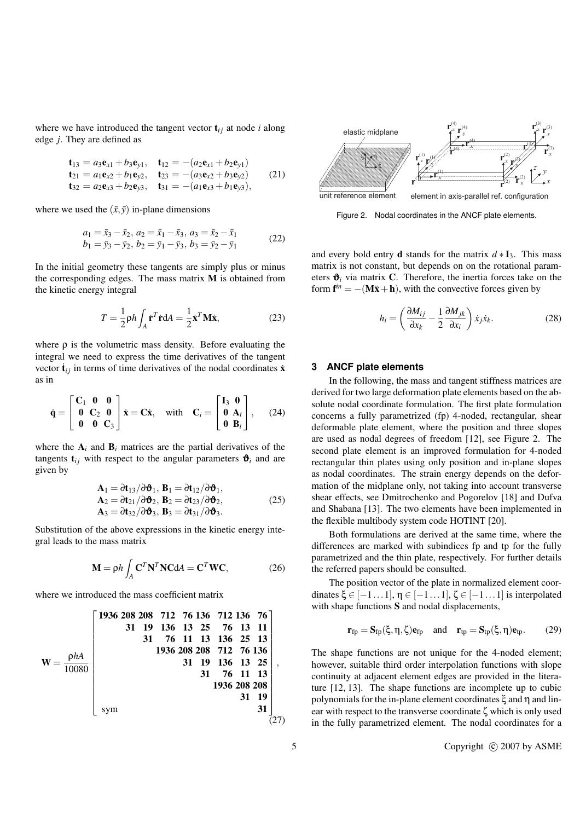where we have introduced the tangent vector  $t_{i j}$  at node *i* along edge *j*. They are defined as

$$
\begin{aligned}\n\mathbf{t}_{13} &= a_3 \mathbf{e}_{x1} + b_3 \mathbf{e}_{y1}, & \mathbf{t}_{12} &= -(a_2 \mathbf{e}_{x1} + b_2 \mathbf{e}_{y1}) \\
\mathbf{t}_{21} &= a_1 \mathbf{e}_{x2} + b_1 \mathbf{e}_{y2}, & \mathbf{t}_{23} &= -(a_3 \mathbf{e}_{x2} + b_3 \mathbf{e}_{y2}) \\
\mathbf{t}_{32} &= a_2 \mathbf{e}_{x3} + b_2 \mathbf{e}_{y3}, & \mathbf{t}_{31} &= -(a_1 \mathbf{e}_{x3} + b_1 \mathbf{e}_{y3}),\n\end{aligned}\n\tag{21}
$$

where we used the  $(\bar{x}, \bar{y})$  in-plane dimensions

$$
a_1 = \bar{x}_3 - \bar{x}_2, a_2 = \bar{x}_1 - \bar{x}_3, a_3 = \bar{x}_2 - \bar{x}_1 b_1 = \bar{y}_3 - \bar{y}_2, b_2 = \bar{y}_1 - \bar{y}_3, b_3 = \bar{y}_2 - \bar{y}_1
$$
 (22)

In the initial geometry these tangents are simply plus or minus the corresponding edges. The mass matrix M is obtained from the kinetic energy integral

$$
T = \frac{1}{2} \rho h \int_{A} \dot{\mathbf{r}}^{T} \dot{\mathbf{r}} dA = \frac{1}{2} \dot{\mathbf{x}}^{T} \mathbf{M} \dot{\mathbf{x}},
$$
 (23)

where  $\rho$  is the volumetric mass density. Before evaluating the integral we need to express the time derivatives of the tangent vector  $\dot{\mathbf{t}}_{ij}$  in terms of time derivatives of the nodal coordinates  $\dot{\mathbf{x}}$ as in

$$
\dot{\mathbf{q}} = \begin{bmatrix} \mathbf{C}_1 & \mathbf{0} & \mathbf{0} \\ \mathbf{0} & \mathbf{C}_2 & \mathbf{0} \\ \mathbf{0} & \mathbf{0} & \mathbf{C}_3 \end{bmatrix} \dot{\mathbf{x}} = \mathbf{C}\dot{\mathbf{x}}, \quad \text{with} \quad \mathbf{C}_i = \begin{bmatrix} \mathbf{I}_3 & \mathbf{0} \\ \mathbf{0} & \mathbf{A}_i \\ \mathbf{0} & \mathbf{B}_i \end{bmatrix}, \quad (24)
$$

where the  $A_i$  and  $B_i$  matrices are the partial derivatives of the tangents  $t_{ij}$  with respect to the angular parameters  $\mathbf{\hat{v}}_i$  and are given by

$$
\mathbf{A}_1 = \partial \mathbf{t}_{13} / \partial \mathbf{\vartheta}_1, \ \mathbf{B}_1 = \partial \mathbf{t}_{12} / \partial \mathbf{\vartheta}_1, \n\mathbf{A}_2 = \partial \mathbf{t}_{21} / \partial \mathbf{\vartheta}_2, \ \mathbf{B}_2 = \partial \mathbf{t}_{23} / \partial \mathbf{\vartheta}_2, \n\mathbf{A}_3 = \partial \mathbf{t}_{32} / \partial \mathbf{\vartheta}_3, \ \mathbf{B}_3 = \partial \mathbf{t}_{31} / \partial \mathbf{\vartheta}_3.
$$
\n(25)

Substitution of the above expressions in the kinetic energy integral leads to the mass matrix

$$
\mathbf{M} = \rho h \int_{A} \mathbf{C}^{T} \mathbf{N}^{T} \mathbf{N} \mathbf{C} dA = \mathbf{C}^{T} \mathbf{W} \mathbf{C},
$$
 (26)

where we introduced the mass coefficient matrix

$$
W = \frac{\rho h A}{10080} \begin{bmatrix} 1936 & 208 & 208 & 712 & 76 & 136 & 712 & 136 & 76 \\ & 31 & 19 & 136 & 13 & 25 & 76 & 13 & 11 \\ & 31 & 76 & 11 & 13 & 136 & 25 & 13 \\ & 1936 & 208 & 208 & 712 & 76 & 136 \\ & 31 & 19 & 136 & 13 & 25 \\ & 31 & 76 & 11 & 13 \\ & 1936 & 208 & 208 & 31 \\ & \text{sym} & & & & 31 \end{bmatrix},
$$
\n
$$
\text{sym} \quad (27)
$$



Figure 2. Nodal coordinates in the ANCF plate elements.

and every bold entry **d** stands for the matrix  $d * I_3$ . This mass matrix is not constant, but depends on on the rotational parameters  $\mathbf{\hat{v}}_i$  via matrix C. Therefore, the inertia forces take on the form  $f^{in} = -(M\ddot{x} + h)$ , with the convective forces given by

$$
h_i = \left(\frac{\partial M_{ij}}{\partial x_k} - \frac{1}{2} \frac{\partial M_{jk}}{\partial x_i}\right) \dot{x}_j \dot{x}_k.
$$
 (28)

#### **3 ANCF plate elements**

In the following, the mass and tangent stiffness matrices are derived for two large deformation plate elements based on the absolute nodal coordinate formulation. The first plate formulation concerns a fully parametrized (fp) 4-noded, rectangular, shear deformable plate element, where the position and three slopes are used as nodal degrees of freedom [12], see Figure 2. The second plate element is an improved formulation for 4-noded rectangular thin plates using only position and in-plane slopes as nodal coordinates. The strain energy depends on the deformation of the midplane only, not taking into account transverse shear effects, see Dmitrochenko and Pogorelov [18] and Dufva and Shabana [13]. The two elements have been implemented in the flexible multibody system code HOTINT [20].

Both formulations are derived at the same time, where the differences are marked with subindices fp and tp for the fully parametrized and the thin plate, respectively. For further details the referred papers should be consulted.

The position vector of the plate in normalized element coordinates  $\xi \in [-1 \dots 1], \eta \in [-1 \dots 1], \zeta \in [-1 \dots 1]$  is interpolated with shape functions S and nodal displacements,

$$
\mathbf{r}_{fp} = \mathbf{S}_{fp}(\xi, \eta, \zeta) \mathbf{e}_{fp} \quad \text{and} \quad \mathbf{r}_{tp} = \mathbf{S}_{tp}(\xi, \eta) \mathbf{e}_{tp}. \tag{29}
$$

The shape functions are not unique for the 4-noded element; however, suitable third order interpolation functions with slope continuity at adjacent element edges are provided in the literature [12, 13]. The shape functions are incomplete up to cubic polynomials for the in-plane element coordinates ξ and η and linear with respect to the transverse coordinate ζ which is only used in the fully parametrized element. The nodal coordinates for a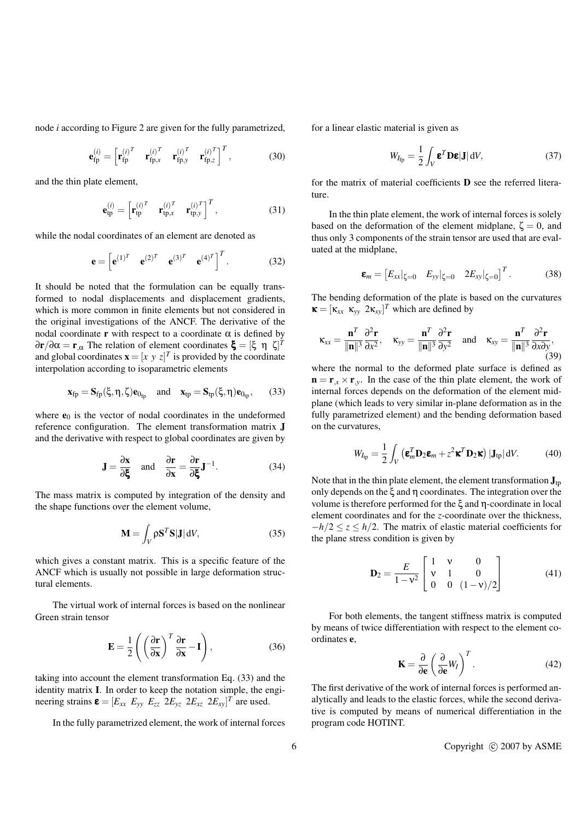node *i* according to Figure 2 are given for the fully parametrized,

$$
\mathbf{e}_{\text{fp}}^{(i)} = \begin{bmatrix} \mathbf{r}_{\text{fp}}^{(i)^T} & \mathbf{r}_{\text{fp},x}^{(i)^T} & \mathbf{r}_{\text{fp},y}^{(i)^T} & \mathbf{r}_{\text{fp},z}^{(i)^T} \end{bmatrix}^T, \tag{30}
$$

and the thin plate element,

$$
\mathbf{e}_{\rm tp}^{(i)} = \begin{bmatrix} \mathbf{r}_{\rm tp}^{(i)^T} & \mathbf{r}_{\rm tp,x}^{(i)^T} & \mathbf{r}_{\rm tp,y}^{(i)^T} \end{bmatrix}^T, \tag{31}
$$

while the nodal coordinates of an element are denoted as

$$
\mathbf{e} = \begin{bmatrix} \mathbf{e}^{(1)^T} & \mathbf{e}^{(2)^T} & \mathbf{e}^{(3)^T} & \mathbf{e}^{(4)^T} \end{bmatrix}^T.
$$
 (32)

It should be noted that the formulation can be equally transformed to nodal displacements and displacement gradients, which is more common in finite elements but not considered in the original investigations of the ANCF. The derivative of the nodal coordinate **r** with respect to a coordinate  $\alpha$  is defined by  $\partial$ **r**/ $\partial$ α = **r**<sub>,α</sub> The relation of element coordinates ξ = [ξ η ζ]<sup>*T*</sup> and global coordinates  $\mathbf{x} = [x \ y \ z]^T$  is provided by the coordinate interpolation according to isoparametric elements

$$
\mathbf{x}_{fp} = \mathbf{S}_{fp}(\xi, \eta, \zeta) \mathbf{e}_{0_{fp}} \quad \text{and} \quad \mathbf{x}_{tp} = \mathbf{S}_{tp}(\xi, \eta) \mathbf{e}_{0_{tp}}, \qquad (33)
$$

where  $e_0$  is the vector of nodal coordinates in the undeformed reference configuration. The element transformation matrix J and the derivative with respect to global coordinates are given by

$$
\mathbf{J} = \frac{\partial \mathbf{x}}{\partial \boldsymbol{\xi}} \quad \text{and} \quad \frac{\partial \mathbf{r}}{\partial \mathbf{x}} = \frac{\partial \mathbf{r}}{\partial \boldsymbol{\xi}} \mathbf{J}^{-1}.
$$
 (34)

The mass matrix is computed by integration of the density and the shape functions over the element volume,

$$
\mathbf{M} = \int_{V} \rho \mathbf{S}^{T} \mathbf{S} | \mathbf{J} | \, \mathrm{d}V, \tag{35}
$$

which gives a constant matrix. This is a specific feature of the ANCF which is usually not possible in large deformation structural elements.

The virtual work of internal forces is based on the nonlinear Green strain tensor

$$
\mathbf{E} = \frac{1}{2} \left( \left( \frac{\partial \mathbf{r}}{\partial \mathbf{x}} \right)^T \frac{\partial \mathbf{r}}{\partial \mathbf{x}} - \mathbf{I} \right),\tag{36}
$$

taking into account the element transformation Eq. (33) and the identity matrix I. In order to keep the notation simple, the engineering strains  $\boldsymbol{\epsilon} = [E_{xx} \ E_{yy} \ E_{zz} \ 2E_{yz} \ 2E_{xz} \ 2E_{xy}]^T$  are used.

In the fully parametrized element, the work of internal forces

for a linear elastic material is given as

$$
W_{I_{\text{fp}}} = \frac{1}{2} \int_{V} \mathbf{\varepsilon}^{T} \mathbf{D} \mathbf{\varepsilon} |J| \, \mathrm{d}V, \tag{37}
$$

for the matrix of material coefficients D see the referred literature.

In the thin plate element, the work of internal forces is solely based on the deformation of the element midplane,  $\zeta = 0$ , and thus only 3 components of the strain tensor are used that are evaluated at the midplane,

$$
\boldsymbol{\epsilon}_m = \begin{bmatrix} E_{xx} |_{\zeta=0} & E_{yy} |_{\zeta=0} & 2E_{xy} |_{\zeta=0} \end{bmatrix}^T. \tag{38}
$$

The bending deformation of the plate is based on the curvatures  $\mathbf{x} = [\kappa_{xx} \; \kappa_{yy} \; 2\kappa_{xy}]^T$  which are defined by

$$
\kappa_{xx} = \frac{\mathbf{n}^T}{\|\mathbf{n}\|^3} \frac{\partial^2 \mathbf{r}}{\partial x^2}, \quad \kappa_{yy} = \frac{\mathbf{n}^T}{\|\mathbf{n}\|^3} \frac{\partial^2 \mathbf{r}}{\partial y^2} \quad \text{and} \quad \kappa_{xy} = \frac{\mathbf{n}^T}{\|\mathbf{n}\|^3} \frac{\partial^2 \mathbf{r}}{\partial x \partial y},\tag{39}
$$

where the normal to the deformed plate surface is defined as  $\mathbf{n} = \mathbf{r}_{x} \times \mathbf{r}_{y}$ . In the case of the thin plate element, the work of internal forces depends on the deformation of the element midplane (which leads to very similar in-plane deformation as in the fully parametrized element) and the bending deformation based on the curvatures,

$$
W_{I_{\text{tp}}} = \frac{1}{2} \int_{V} \left( \mathbf{\varepsilon}_{m}^{T} \mathbf{D}_{2} \mathbf{\varepsilon}_{m} + z^{2} \mathbf{\kappa}^{T} \mathbf{D}_{2} \mathbf{\kappa} \right) |\mathbf{J}_{\text{tp}}| \, \mathrm{d}V. \tag{40}
$$

Note that in the thin plate element, the element transformation  $J_{tn}$ only depends on the ξ and η coordinates. The integration over the volume is therefore performed for the ξ and η-coordinate in local element coordinates and for the *z*-coordinate over the thickness, −*h*/2 ≤ *z* ≤ *h*/2. The matrix of elastic material coefficients for the plane stress condition is given by

$$
\mathbf{D}_2 = \frac{E}{1 - \mathbf{v}^2} \begin{bmatrix} 1 & \mathbf{v} & 0 \\ \mathbf{v} & 1 & 0 \\ 0 & 0 & (1 - \mathbf{v})/2 \end{bmatrix}
$$
(41)

For both elements, the tangent stiffness matrix is computed by means of twice differentiation with respect to the element coordinates e,

$$
\mathbf{K} = \frac{\partial}{\partial \mathbf{e}} \left( \frac{\partial}{\partial \mathbf{e}} W_I \right)^T.
$$
 (42)

The first derivative of the work of internal forces is performed analytically and leads to the elastic forces, while the second derivative is computed by means of numerical differentiation in the program code HOTINT.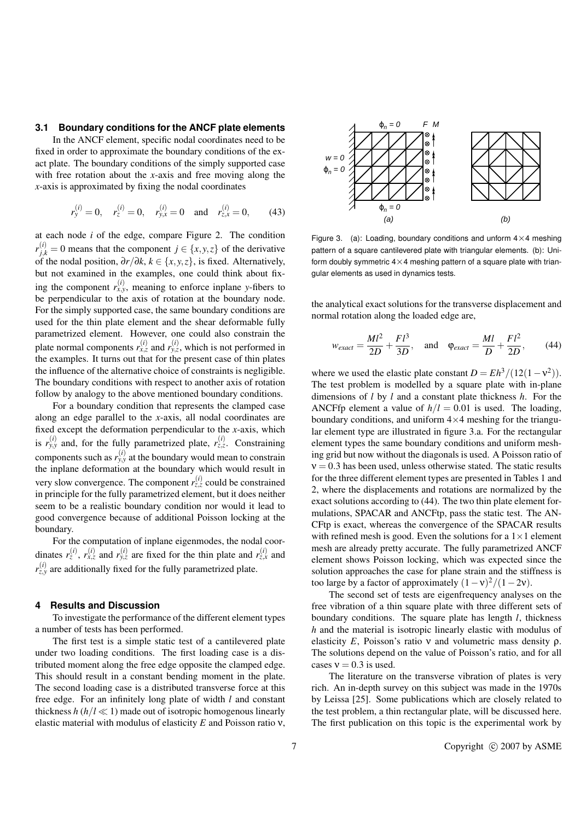#### **3.1 Boundary conditions for the ANCF plate elements**

In the ANCF element, specific nodal coordinates need to be fixed in order to approximate the boundary conditions of the exact plate. The boundary conditions of the simply supported case with free rotation about the *x*-axis and free moving along the *x*-axis is approximated by fixing the nodal coordinates

$$
r_y^{(i)} = 0
$$
,  $r_z^{(i)} = 0$ ,  $r_{y,x}^{(i)} = 0$  and  $r_{z,x}^{(i)} = 0$ , (43)

at each node *i* of the edge, compare Figure 2. The condition  $r_{j,k}^{(i)} = 0$  means that the component  $j \in \{x, y, z\}$  of the derivative of the nodal position, ∂*r*/∂*k*, *k* ∈ {*x*, *y*,*z*}, is fixed. Alternatively, but not examined in the examples, one could think about fixing the component  $r_{x,y}^{(i)}$ , meaning to enforce inplane *y*-fibers to be perpendicular to the axis of rotation at the boundary node. For the simply supported case, the same boundary conditions are used for the thin plate element and the shear deformable fully parametrized element. However, one could also constrain the plate normal components  $r_{x,z}^{(i)}$  and  $r_{y,z}^{(i)}$ , which is not performed in the examples. It turns out that for the present case of thin plates the influence of the alternative choice of constraints is negligible. The boundary conditions with respect to another axis of rotation follow by analogy to the above mentioned boundary conditions.

For a boundary condition that represents the clamped case along an edge parallel to the *x*-axis, all nodal coordinates are fixed except the deformation perpendicular to the *x*-axis, which is  $r_{y,y}^{(i)}$  and, for the fully parametrized plate,  $r_{z,z}^{(i)}$ . Constraining components such as  $r_{y,y}^{(i)}$  at the boundary would mean to constrain the inplane deformation at the boundary which would result in very slow convergence. The component  $r_{z,z}^{(i)}$  could be constrained in principle for the fully parametrized element, but it does neither seem to be a realistic boundary condition nor would it lead to good convergence because of additional Poisson locking at the boundary.

For the computation of inplane eigenmodes, the nodal coordinates  $r_z^{(i)}$ ,  $r_{x,z}^{(i)}$  and  $r_{y,z}^{(i)}$  are fixed for the thin plate and  $r_{z,x}^{(i)}$  and  $r_{z,y}^{(i)}$  are additionally fixed for the fully parametrized plate.

#### **4 Results and Discussion**

To investigate the performance of the different element types a number of tests has been performed.

The first test is a simple static test of a cantilevered plate under two loading conditions. The first loading case is a distributed moment along the free edge opposite the clamped edge. This should result in a constant bending moment in the plate. The second loading case is a distributed transverse force at this free edge. For an infinitely long plate of width *l* and constant thickness  $h(h/l \ll 1)$  made out of isotropic homogenous linearly elastic material with modulus of elasticity *E* and Poisson ratio ν,



Figure 3. (a): Loading, boundary conditions and unform  $4 \times 4$  meshing pattern of a square cantilevered plate with triangular elements. (b): Uniform doubly symmetric  $4\times4$  meshing pattern of a square plate with triangular elements as used in dynamics tests.

the analytical exact solutions for the transverse displacement and normal rotation along the loaded edge are,

$$
w_{exact} = \frac{Ml^2}{2D} + \frac{Fl^3}{3D}, \quad \text{and} \quad \varphi_{exact} = \frac{Ml}{D} + \frac{Fl^2}{2D}, \tag{44}
$$

where we used the elastic plate constant  $D = Eh^3/(12(1-\nu^2))$ . The test problem is modelled by a square plate with in-plane dimensions of *l* by *l* and a constant plate thickness *h*. For the ANCFfp element a value of  $h/l = 0.01$  is used. The loading, boundary conditions, and uniform  $4\times4$  meshing for the triangular element type are illustrated in figure 3.a. For the rectangular element types the same boundary conditions and uniform meshing grid but now without the diagonals is used. A Poisson ratio of  $v = 0.3$  has been used, unless otherwise stated. The static results for the three different element types are presented in Tables 1 and 2, where the displacements and rotations are normalized by the exact solutions according to (44). The two thin plate element formulations, SPACAR and ANCFtp, pass the static test. The AN-CFtp is exact, whereas the convergence of the SPACAR results with refined mesh is good. Even the solutions for a  $1 \times 1$  element mesh are already pretty accurate. The fully parametrized ANCF element shows Poisson locking, which was expected since the solution approaches the case for plane strain and the stiffness is too large by a factor of approximately  $(1 - v)^2/(1 - 2v)$ .

The second set of tests are eigenfrequency analyses on the free vibration of a thin square plate with three different sets of boundary conditions. The square plate has length *l*, thickness *h* and the material is isotropic linearly elastic with modulus of elasticity *E*, Poisson's ratio ν and volumetric mass density ρ. The solutions depend on the value of Poisson's ratio, and for all cases  $v = 0.3$  is used.

The literature on the transverse vibration of plates is very rich. An in-depth survey on this subject was made in the 1970s by Leissa [25]. Some publications which are closely related to the test problem, a thin rectangular plate, will be discussed here. The first publication on this topic is the experimental work by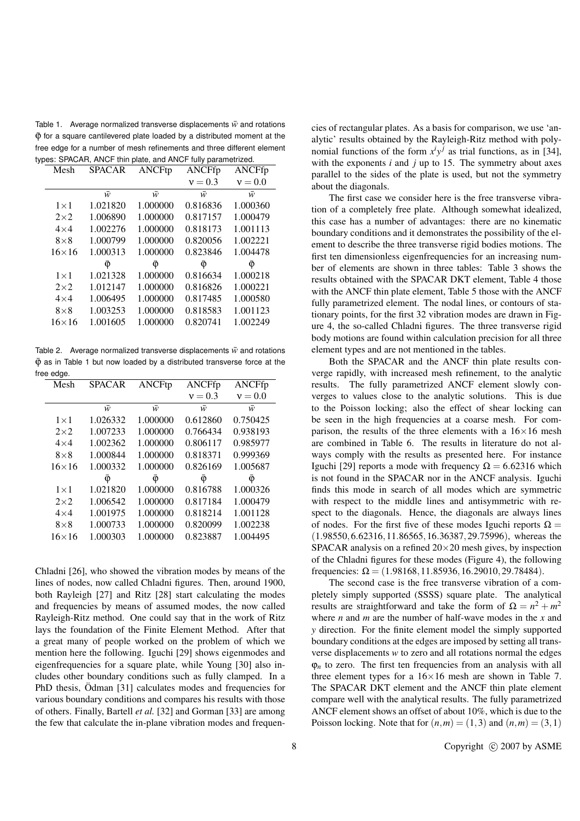Table 1. Average normalized transverse displacements  $\bar{w}$  and rotations  $\bar{\varphi}$  for a square cantilevered plate loaded by a distributed moment at the free edge for a number of mesh refinements and three different element types: SPACAR, ANCF thin plate, and ANCF fully parametrized.

| Mesh         | <b>SPACAR</b> | ANCFtp   | ANCFfp    | ANCFfp    |
|--------------|---------------|----------|-----------|-----------|
|              |               |          | $v = 0.3$ | $v = 0.0$ |
|              | ŵ             | ŵ        | ŵ         | ŵ         |
| $1\times1$   | 1.021820      | 1.000000 | 0.816836  | 1.000360  |
| $2\times2$   | 1.006890      | 1.000000 | 0.817157  | 1.000479  |
| $4\times4$   | 1.002276      | 1.000000 | 0.818173  | 1.001113  |
| $8\times8$   | 1.000799      | 1.000000 | 0.820056  | 1.002221  |
| $16\times16$ | 1.000313      | 1.000000 | 0.823846  | 1.004478  |
|              | φ             | φ        | φ         | Φ         |
| $1\times1$   | 1.021328      | 1.000000 | 0.816634  | 1.000218  |
| $2\times2$   | 1.012147      | 1.000000 | 0.816826  | 1.000221  |
| $4\times4$   | 1.006495      | 1.000000 | 0.817485  | 1.000580  |
| $8\times8$   | 1.003253      | 1.000000 | 0.818583  | 1.001123  |
| $16\times16$ | 1.001605      | 1.000000 | 0.820741  | 1.002249  |
|              |               |          |           |           |

Table 2. Average normalized transverse displacements  $\bar{w}$  and rotations  $\bar{\Phi}$  as in Table 1 but now loaded by a distributed transverse force at the free edge.

| Mesh          | <b>SPACAR</b> | ANCFtp   | ANCFfp    | ANCFfp    |
|---------------|---------------|----------|-----------|-----------|
|               |               |          | $v = 0.3$ | $v = 0.0$ |
|               | ŵ             | ŵ        | ŵ         | ŵ         |
| $1\times1$    | 1.026332      | 1.000000 | 0.612860  | 0.750425  |
| $2 \times 2$  | 1.007233      | 1.000000 | 0.766434  | 0.938193  |
| $4\times4$    | 1.002362      | 1.000000 | 0.806117  | 0.985977  |
| $8\times8$    | 1.000844      | 1.000000 | 0.818371  | 0.999369  |
| $16\times 16$ | 1.000332      | 1.000000 | 0.826169  | 1.005687  |
|               | φ             | φ        | φ         | φ         |
| $1\times1$    | 1.021820      | 1.000000 | 0.816788  | 1.000326  |
| $2\times2$    | 1.006542      | 1.000000 | 0.817184  | 1.000479  |
| $4\times4$    | 1.001975      | 1.000000 | 0.818214  | 1.001128  |
| $8\times8$    | 1.000733      | 1.000000 | 0.820099  | 1.002238  |
| $16\times16$  | 1.000303      | 1.000000 | 0.823887  | 1.004495  |

Chladni [26], who showed the vibration modes by means of the lines of nodes, now called Chladni figures. Then, around 1900, both Rayleigh [27] and Ritz [28] start calculating the modes and frequencies by means of assumed modes, the now called Rayleigh-Ritz method. One could say that in the work of Ritz lays the foundation of the Finite Element Method. After that a great many of people worked on the problem of which we mention here the following. Iguchi [29] shows eigenmodes and eigenfrequencies for a square plate, while Young [30] also includes other boundary conditions such as fully clamped. In a PhD thesis, Odman [31] calculates modes and frequencies for various boundary conditions and compares his results with those of others. Finally, Bartell *et al.* [32] and Gorman [33] are among the few that calculate the in-plane vibration modes and frequencies of rectangular plates. As a basis for comparison, we use 'analytic' results obtained by the Rayleigh-Ritz method with polynomial functions of the form  $x^i y^j$  as trial functions, as in [34], with the exponents *i* and *j* up to 15. The symmetry about axes parallel to the sides of the plate is used, but not the symmetry about the diagonals.

The first case we consider here is the free transverse vibration of a completely free plate. Although somewhat idealized, this case has a number of advantages: there are no kinematic boundary conditions and it demonstrates the possibility of the element to describe the three transverse rigid bodies motions. The first ten dimensionless eigenfrequencies for an increasing number of elements are shown in three tables: Table 3 shows the results obtained with the SPACAR DKT element, Table 4 those with the ANCF thin plate element, Table 5 those with the ANCF fully parametrized element. The nodal lines, or contours of stationary points, for the first 32 vibration modes are drawn in Figure 4, the so-called Chladni figures. The three transverse rigid body motions are found within calculation precision for all three element types and are not mentioned in the tables.

Both the SPACAR and the ANCF thin plate results converge rapidly, with increased mesh refinement, to the analytic results. The fully parametrized ANCF element slowly converges to values close to the analytic solutions. This is due to the Poisson locking; also the effect of shear locking can be seen in the high frequencies at a coarse mesh. For comparison, the results of the three elements with a  $16\times16$  mesh are combined in Table 6. The results in literature do not always comply with the results as presented here. For instance Iguchi [29] reports a mode with frequency  $\Omega = 6.62316$  which is not found in the SPACAR nor in the ANCF analysis. Iguchi finds this mode in search of all modes which are symmetric with respect to the middle lines and antisymmetric with respect to the diagonals. Hence, the diagonals are always lines of nodes. For the first five of these modes Iguchi reports  $\Omega =$ (1.98550,6.62316,11.86565,16.36387,29.75996), whereas the SPACAR analysis on a refined  $20 \times 20$  mesh gives, by inspection of the Chladni figures for these modes (Figure 4), the following frequencies:  $\Omega = (1.98168, 11.85936, 16.29010, 29.78484)$ .

The second case is the free transverse vibration of a completely simply supported (SSSS) square plate. The analytical results are straightforward and take the form of  $\Omega = n^2 + m^2$ where *n* and *m* are the number of half-wave modes in the *x* and *y* direction. For the finite element model the simply supported boundary conditions at the edges are imposed by setting all transverse displacements *w* to zero and all rotations normal the edges  $\varphi_n$  to zero. The first ten frequencies from an analysis with all three element types for a  $16 \times 16$  mesh are shown in Table 7. The SPACAR DKT element and the ANCF thin plate element compare well with the analytical results. The fully parametrized ANCF element shows an offset of about 10%, which is due to the Poisson locking. Note that for  $(n,m) = (1,3)$  and  $(n,m) = (3,1)$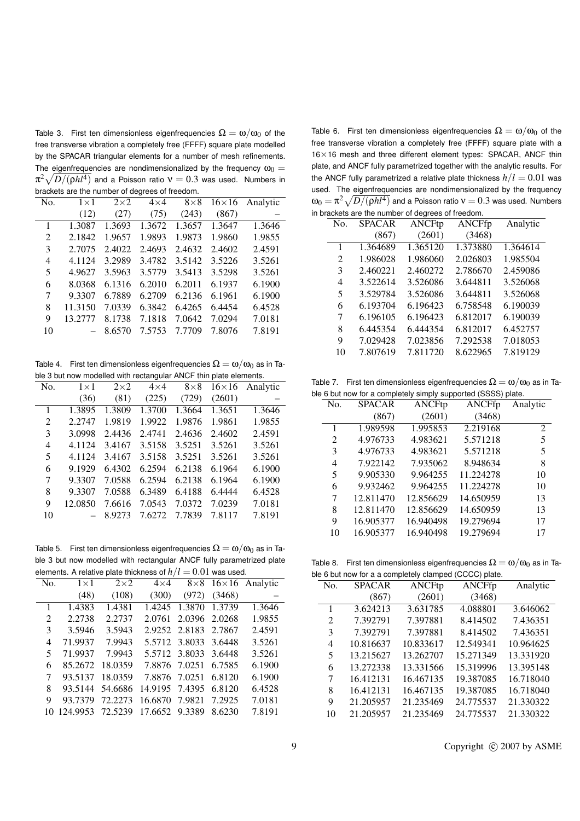Table 3. First ten dimensionless eigenfrequencies  $\Omega = \omega/\omega_0$  of the free transverse vibration a completely free (FFFF) square plate modelled by the SPACAR triangular elements for a number of mesh refinements. The eigenfrequencies are nondimensionalized by the frequency  $\omega_0 =$  $\pi^2\sqrt{D/(\rho h l^4)}$  and a Poisson ratio  $\rm v=0.3$  was used. Numbers in brackets are the number of degrees of freedom.

|              | pragnolo are the namber or adgress or irocaom. |            |            |            |              |          |
|--------------|------------------------------------------------|------------|------------|------------|--------------|----------|
| No.          | $1\times1$                                     | $2\times2$ | $4\times4$ | $8\times8$ | $16\times16$ | Analytic |
|              | (12)                                           | (27)       | (75)       | (243)      | (867)        |          |
| $\mathbf{1}$ | 1.3087                                         | 1.3693     | 1.3672     | 1.3657     | 1.3647       | 1.3646   |
| 2            | 2.1842                                         | 1.9657     | 1.9893     | 1.9873     | 1.9860       | 1.9855   |
| 3            | 2.7075                                         | 2.4022     | 2.4693     | 2.4632     | 2.4602       | 2.4591   |
| 4            | 4.1124                                         | 3.2989     | 3.4782     | 3.5142     | 3.5226       | 3.5261   |
| 5            | 4.9627                                         | 3.5963     | 3.5779     | 3.5413     | 3.5298       | 3.5261   |
| 6            | 8.0368                                         | 6.1316     | 6.2010     | 6.2011     | 6.1937       | 6.1900   |
| 7            | 9.3307                                         | 6.7889     | 6.2709     | 6.2136     | 6.1961       | 6.1900   |
| 8            | 11.3150                                        | 7.0339     | 6.3842     | 6.4265     | 6.4454       | 6.4528   |
| 9            | 13.2777                                        | 8.1738     | 7.1818     | 7.0642     | 7.0294       | 7.0181   |
| 10           |                                                | 8.6570     | 7.5753     | 7.7709     | 7.8076       | 7.8191   |
|              |                                                |            |            |            |              |          |

Table 4. First ten dimensionless eigenfrequencies  $\Omega = \omega/\omega_0$  as in Table 3 but now modelled with rectangular ANCF thin plate elements.

| No. | $1\times1$ | $2\times2$ | $4\times4$ | $8\times8$ | $16\times16$ | Analytic |
|-----|------------|------------|------------|------------|--------------|----------|
|     | (36)       | (81)       | (225)      | (729)      | (2601)       |          |
| 1   | 1.3895     | 1.3809     | 1.3700     | 1.3664     | 1.3651       | 1.3646   |
| 2   | 2.2747     | 1.9819     | 1.9922     | 1.9876     | 1.9861       | 1.9855   |
| 3   | 3.0998     | 2.4436     | 2.4741     | 2.4636     | 2.4602       | 2.4591   |
| 4   | 4.1124     | 3.4167     | 3.5158     | 3.5251     | 3.5261       | 3.5261   |
| 5   | 4.1124     | 3.4167     | 3.5158     | 3.5251     | 3.5261       | 3.5261   |
| 6   | 9.1929     | 6.4302     | 6.2594     | 6.2138     | 6.1964       | 6.1900   |
| 7   | 9.3307     | 7.0588     | 6.2594     | 6.2138     | 6.1964       | 6.1900   |
| 8   | 9.3307     | 7.0588     | 6.3489     | 6.4188     | 6.4444       | 6.4528   |
| 9   | 12.0850    | 7.6616     | 7.0543     | 7.0372     | 7.0239       | 7.0181   |
| 10  |            | 8.9273     | 7.6272     | 7.7839     | 7.8117       | 7.8191   |
|     |            |            |            |            |              |          |

Table 5. First ten dimensionless eigenfrequencies  $\Omega = \omega/\omega_0$  as in Table 3 but now modelled with rectangular ANCF fully parametrized plate elements. A relative plate thickness of  $h/l = 0.01$  was used.

|     | $m$ of the condition of $m$ is the condition of $m/r$ and $m$ of $\sigma$ and $m$ of $\sigma$ |                 |                       |                      |        |                                          |
|-----|-----------------------------------------------------------------------------------------------|-----------------|-----------------------|----------------------|--------|------------------------------------------|
| No. | $1\times1$                                                                                    | $2\times2$      |                       |                      |        | $4 \times 4$ $8 \times 8$ 16×16 Analytic |
|     | (48)                                                                                          | (108)           | (300)                 | (972)                | (3468) |                                          |
| 1   | 1.4383                                                                                        | 1.4381          |                       | 1.4245 1.3870 1.3739 |        | 1.3646                                   |
| 2   | 2.2738                                                                                        | 2.2737          | 2.0761                | 2.0396 2.0268        |        | 1.9855                                   |
| 3   | 3.5946                                                                                        | 3.5943          |                       | 2.9252 2.8183 2.7867 |        | 2.4591                                   |
| 4   | 71.9937                                                                                       | 7.9943          |                       | 5.5712 3.8033 3.6448 |        | 3.5261                                   |
| 5   | 71.9937                                                                                       | 7.9943          |                       | 5.5712 3.8033 3.6448 |        | 3.5261                                   |
| 6   | 85.2672                                                                                       | 18.0359         |                       | 7.8876 7.0251 6.7585 |        | 6.1900                                   |
| 7   | 93.5137                                                                                       | 18.0359         |                       | 7.8876 7.0251        | 6.8120 | 6.1900                                   |
| 8   |                                                                                               | 93.5144 54.6686 | 14.9195 7.4395 6.8120 |                      |        | 6.4528                                   |
| 9   | 93.7379                                                                                       | 72.2273         | 16.6870 7.9821        |                      | 7.2925 | 7.0181                                   |
|     | 10 124.9953                                                                                   | 72.5239         | 17.6652 9.3389        |                      | 8.6230 | 7.8191                                   |
|     |                                                                                               |                 |                       |                      |        |                                          |

Table 6. First ten dimensionless eigenfrequencies  $\Omega = \omega/\omega_0$  of the free transverse vibration a completely free (FFFF) square plate with a 16×16 mesh and three different element types: SPACAR, ANCF thin plate, and ANCF fully parametrized together with the analytic results. For the ANCF fully parametrized a relative plate thickness  $h/l = 0.01$  was used. The eigenfrequencies are nondimensionalized by the frequency  $\omega_0 = \pi^2 \sqrt{D/(\rho h l^4)}$  and a Poisson ratio  $\rm v=0.3$  was used. Numbers in brackets are the number of degrees of freedom.

| $\alpha$ , $\beta$ , $\alpha$ , $\beta$ , $\beta$ , $\beta$ , $\beta$ , $\beta$ , $\beta$ , $\beta$ |               |               |               |          |  |  |  |  |
|-----------------------------------------------------------------------------------------------------|---------------|---------------|---------------|----------|--|--|--|--|
| No.                                                                                                 | <b>SPACAR</b> | <b>ANCFtp</b> | <b>ANCFfp</b> | Analytic |  |  |  |  |
|                                                                                                     | (867)         | (2601)        | (3468)        |          |  |  |  |  |
| 1                                                                                                   | 1.364689      | 1.365120      | 1.373880      | 1.364614 |  |  |  |  |
| 2                                                                                                   | 1.986028      | 1.986060      | 2.026803      | 1.985504 |  |  |  |  |
| 3                                                                                                   | 2.460221      | 2.460272      | 2.786670      | 2.459086 |  |  |  |  |
| 4                                                                                                   | 3.522614      | 3.526086      | 3.644811      | 3.526068 |  |  |  |  |
| 5                                                                                                   | 3.529784      | 3.526086      | 3.644811      | 3.526068 |  |  |  |  |
| 6                                                                                                   | 6.193704      | 6.196423      | 6.758548      | 6.190039 |  |  |  |  |
| 7                                                                                                   | 6.196105      | 6.196423      | 6.812017      | 6.190039 |  |  |  |  |
| 8                                                                                                   | 6.445354      | 6.444354      | 6.812017      | 6.452757 |  |  |  |  |
| 9                                                                                                   | 7.029428      | 7.023856      | 7.292538      | 7.018053 |  |  |  |  |
| 10                                                                                                  | 7.807619      | 7.811720      | 8.622965      | 7.819129 |  |  |  |  |
|                                                                                                     |               |               |               |          |  |  |  |  |

Table 7. First ten dimensionless eigenfrequencies  $\Omega = \omega/\omega_0$  as in Table 6 but now for a completely simply supported (SSSS) plate.

| $\epsilon$ o but now for a completely simply supported (3333) plate. |               |               |               |          |  |  |
|----------------------------------------------------------------------|---------------|---------------|---------------|----------|--|--|
| No.                                                                  | <b>SPACAR</b> | <b>ANCFtp</b> | <b>ANCFfp</b> | Analytic |  |  |
|                                                                      | (867)         | (2601)        | (3468)        |          |  |  |
| 1                                                                    | 1.989598      | 1.995853      | 2.219168      | 2        |  |  |
| 2                                                                    | 4.976733      | 4.983621      | 5.571218      | 5        |  |  |
| 3                                                                    | 4.976733      | 4.983621      | 5.571218      | 5        |  |  |
| 4                                                                    | 7.922142      | 7.935062      | 8.948634      | 8        |  |  |
| 5                                                                    | 9.905330      | 9.964255      | 11.224278     | 10       |  |  |
| 6                                                                    | 9.932462      | 9.964255      | 11.224278     | 10       |  |  |
| 7                                                                    | 12.811470     | 12.856629     | 14.650959     | 13       |  |  |
| 8                                                                    | 12.811470     | 12.856629     | 14.650959     | 13       |  |  |
| 9                                                                    | 16.905377     | 16.940498     | 19.279694     | 17       |  |  |
| 10                                                                   | 16.905377     | 16.940498     | 19.279694     | 17       |  |  |
|                                                                      |               |               |               |          |  |  |

Table 8. First ten dimensionless eigenfrequencies  $\Omega = \omega/\omega_0$  as in Ta $h \leq h$  a complete black

|     | $\mu$ e 6 but now for a a completely clamped (CCCC) plate. |               |               |           |  |  |  |  |
|-----|------------------------------------------------------------|---------------|---------------|-----------|--|--|--|--|
| No. | <b>SPACAR</b>                                              | <b>ANCFtp</b> | <b>ANCFfp</b> | Analytic  |  |  |  |  |
|     | (867)                                                      | (2601)        | (3468)        |           |  |  |  |  |
| 1   | 3.624213                                                   | 3.631785      | 4.088801      | 3.646062  |  |  |  |  |
| 2   | 7.392791                                                   | 7.397881      | 8.414502      | 7.436351  |  |  |  |  |
| 3   | 7.392791                                                   | 7.397881      | 8.414502      | 7.436351  |  |  |  |  |
| 4   | 10.816637                                                  | 10.833617     | 12.549341     | 10.964625 |  |  |  |  |
| 5   | 13.215627                                                  | 13.262707     | 15.271349     | 13.331920 |  |  |  |  |
| 6   | 13.272338                                                  | 13.331566     | 15.319996     | 13.395148 |  |  |  |  |
| 7   | 16.412131                                                  | 16.467135     | 19.387085     | 16.718040 |  |  |  |  |
| 8   | 16.412131                                                  | 16.467135     | 19.387085     | 16.718040 |  |  |  |  |
| 9   | 21.205957                                                  | 21.235469     | 24.775537     | 21.330322 |  |  |  |  |
| 10  | 21.205957                                                  | 21.235469     | 24.775537     | 21.330322 |  |  |  |  |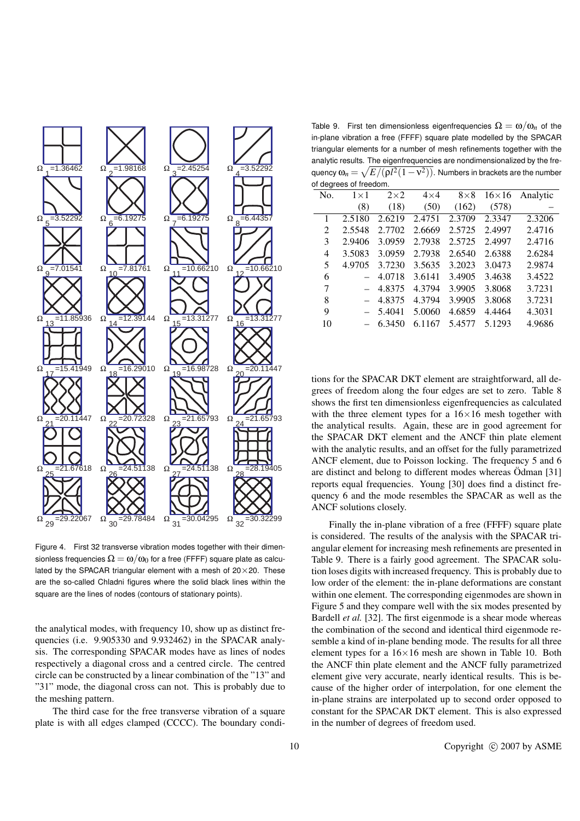

Figure 4. First 32 transverse vibration modes together with their dimensionless frequencies  $\Omega = \omega/\omega_0$  for a free (FFFF) square plate as calculated by the SPACAR triangular element with a mesh of  $20 \times 20$ . These are the so-called Chladni figures where the solid black lines within the square are the lines of nodes (contours of stationary points).

the analytical modes, with frequency 10, show up as distinct frequencies (i.e. 9.905330 and 9.932462) in the SPACAR analysis. The corresponding SPACAR modes have as lines of nodes respectively a diagonal cross and a centred circle. The centred circle can be constructed by a linear combination of the "13" and "31" mode, the diagonal cross can not. This is probably due to the meshing pattern.

The third case for the free transverse vibration of a square plate is with all edges clamped (CCCC). The boundary condi-

Table 9. First ten dimensionless eigenfrequencies  $\Omega = \omega/\omega_n$  of the in-plane vibration a free (FFFF) square plate modelled by the SPACAR triangular elements for a number of mesh refinements together with the analytic results. The eigenfrequencies are nondimensionalized by the frequency  $\omega_n\!=\!\sqrt{E/(\rho l^2(1\!-\!{\rm v}^2))}.$  Numbers in brackets are the number of degrees of freedom.

|     | or aegrees or rreeaom. |            |            |            |              |          |
|-----|------------------------|------------|------------|------------|--------------|----------|
| No. | $1\times1$             | $2\times2$ | $4\times4$ | $8\times8$ | $16\times16$ | Analytic |
|     | (8)                    | (18)       | (50)       | (162)      | (578)        |          |
| 1   | 2.5180                 | 2.6219     | 2.4751     | 2.3709     | 2.3347       | 2.3206   |
| 2   | 2.5548                 | 2.7702     | 2.6669     | 2.5725     | 2.4997       | 2.4716   |
| 3   | 2.9406                 | 3.0959     | 2.7938     | 2.5725     | 2.4997       | 2.4716   |
| 4   | 3.5083                 | 3.0959     | 2.7938     | 2.6540     | 2.6388       | 2.6284   |
| 5   | 4.9705                 | 3.7230     | 3.5635     | 3.2023     | 3.0473       | 2.9874   |
| 6   |                        | 4.0718     | 3.6141     | 3.4905     | 3.4638       | 3.4522   |
| 7   |                        | 4.8375     | 4.3794     | 3.9905     | 3.8068       | 3.7231   |
| 8   |                        | 4.8375     | 4.3794     | 3.9905     | 3.8068       | 3.7231   |
| 9   |                        | 5.4041     | 5.0060     | 4.6859     | 4.4464       | 4.3031   |
| 10  |                        | 6.3450     | 6.1167     | 5.4577     | 5.1293       | 4.9686   |
|     |                        |            |            |            |              |          |

tions for the SPACAR DKT element are straightforward, all degrees of freedom along the four edges are set to zero. Table 8 shows the first ten dimensionless eigenfrequencies as calculated with the three element types for a  $16\times16$  mesh together with the analytical results. Again, these are in good agreement for the SPACAR DKT element and the ANCF thin plate element with the analytic results, and an offset for the fully parametrized ANCF element, due to Poisson locking. The frequency 5 and 6 are distinct and belong to different modes whereas  $\ddot{\text{O}}$ dman [31] reports equal frequencies. Young [30] does find a distinct frequency 6 and the mode resembles the SPACAR as well as the ANCF solutions closely.

Finally the in-plane vibration of a free (FFFF) square plate is considered. The results of the analysis with the SPACAR triangular element for increasing mesh refinements are presented in Table 9. There is a fairly good agreement. The SPACAR solution loses digits with increased frequency. This is probably due to low order of the element: the in-plane deformations are constant within one element. The corresponding eigenmodes are shown in Figure 5 and they compare well with the six modes presented by Bardell *et al.* [32]. The first eigenmode is a shear mode whereas the combination of the second and identical third eigenmode resemble a kind of in-plane bending mode. The results for all three element types for a  $16\times16$  mesh are shown in Table 10. Both the ANCF thin plate element and the ANCF fully parametrized element give very accurate, nearly identical results. This is because of the higher order of interpolation, for one element the in-plane strains are interpolated up to second order opposed to constant for the SPACAR DKT element. This is also expressed in the number of degrees of freedom used.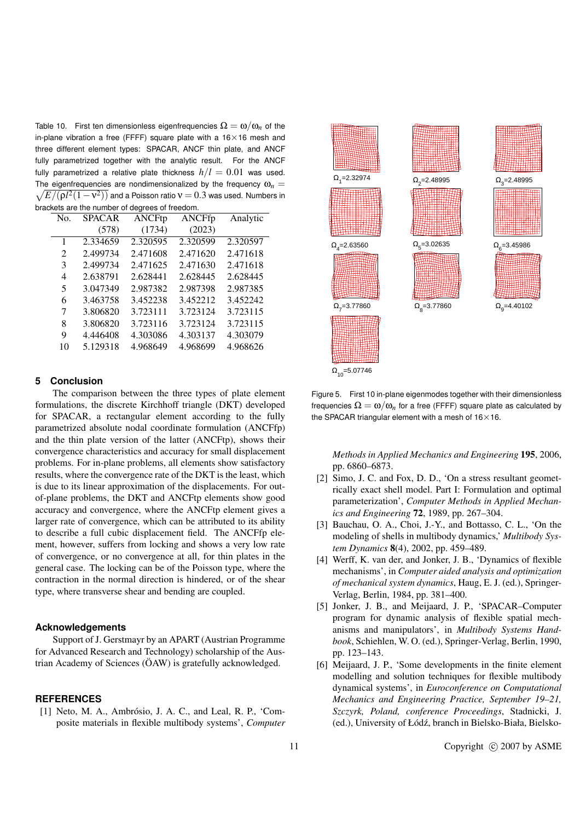Table 10. First ten dimensionless eigenfrequencies  $\Omega = \omega/\omega_n$  of the in-plane vibration a free (FFFF) square plate with a  $16\times16$  mesh and three different element types: SPACAR, ANCF thin plate, and ANCF fully parametrized together with the analytic result. For the ANCF fully parametrized a relative plate thickness  $h/l = 0.01$  was used. The eigenfrequencies are nondimensionalized by the frequency  $\omega_n = \sqrt{\frac{m_1 m_2^2}{2m_1^2 m_2^2}}$  $E/(\rho l^2(1\!-\!{\rm v}^2))$  and a Poisson ratio  ${\rm v}$   $=$   $0.3$  was used. Numbers in brackets are the number of degrees of freedom.

| No.                         | <b>SPACAR</b> | <b>ANCFtp</b> | ANCFfp   | Analytic |
|-----------------------------|---------------|---------------|----------|----------|
|                             | (578)         | (1734)        | (2023)   |          |
| 1                           | 2.334659      | 2.320595      | 2.320599 | 2.320597 |
| $\mathcal{D}_{\mathcal{L}}$ | 2.499734      | 2.471608      | 2.471620 | 2.471618 |
| 3                           | 2.499734      | 2.471625      | 2.471630 | 2.471618 |
| 4                           | 2.638791      | 2.628441      | 2.628445 | 2.628445 |
| 5                           | 3.047349      | 2.987382      | 2.987398 | 2.987385 |
| 6                           | 3.463758      | 3.452238      | 3.452212 | 3.452242 |
| 7                           | 3.806820      | 3.723111      | 3.723124 | 3.723115 |
| 8                           | 3.806820      | 3.723116      | 3.723124 | 3.723115 |
| 9                           | 4.446408      | 4.303086      | 4.303137 | 4.303079 |
| 10                          | 5.129318      | 4.968649      | 4.968699 | 4.968626 |
|                             |               |               |          |          |

#### **5 Conclusion**

The comparison between the three types of plate element formulations, the discrete Kirchhoff triangle (DKT) developed for SPACAR, a rectangular element according to the fully parametrized absolute nodal coordinate formulation (ANCFfp) and the thin plate version of the latter (ANCFtp), shows their convergence characteristics and accuracy for small displacement problems. For in-plane problems, all elements show satisfactory results, where the convergence rate of the DKT is the least, which is due to its linear approximation of the displacements. For outof-plane problems, the DKT and ANCFtp elements show good accuracy and convergence, where the ANCFtp element gives a larger rate of convergence, which can be attributed to its ability to describe a full cubic displacement field. The ANCFfp element, however, suffers from locking and shows a very low rate of convergence, or no convergence at all, for thin plates in the general case. The locking can be of the Poisson type, where the contraction in the normal direction is hindered, or of the shear type, where transverse shear and bending are coupled.

#### **Acknowledgements**

Support of J. Gerstmayr by an APART (Austrian Programme for Advanced Research and Technology) scholarship of the Austrian Academy of Sciences (OAW) is gratefully acknowledged.

#### **REFERENCES**

 $[1]$  Neto, M. A., Ambrósio, J. A. C., and Leal, R. P., 'Composite materials in flexible multibody systems', *Computer*



 $\Omega_{10}$ =5.07746

Figure 5. First 10 in-plane eigenmodes together with their dimensionless frequencies  $\Omega = \omega/\omega_n$  for a free (FFFF) square plate as calculated by the SPACAR triangular element with a mesh of  $16 \times 16$ .

*Methods in Applied Mechanics and Engineering* 195, 2006, pp. 6860–6873.

- [2] Simo, J. C. and Fox, D. D., 'On a stress resultant geometrically exact shell model. Part I: Formulation and optimal parameterization', *Computer Methods in Applied Mechanics and Engineering* 72, 1989, pp. 267–304.
- [3] Bauchau, O. A., Choi, J.-Y., and Bottasso, C. L., 'On the modeling of shells in multibody dynamics,' *Multibody System Dynamics* 8(4), 2002, pp. 459–489.
- [4] Werff, K. van der, and Jonker, J. B., 'Dynamics of flexible mechanisms', in *Computer aided analysis and optimization of mechanical system dynamics*, Haug, E. J. (ed.), Springer-Verlag, Berlin, 1984, pp. 381–400.
- [5] Jonker, J. B., and Meijaard, J. P., 'SPACAR–Computer program for dynamic analysis of flexible spatial mechanisms and manipulators', in *Multibody Systems Handbook*, Schiehlen, W. O. (ed.), Springer-Verlag, Berlin, 1990, pp. 123–143.
- [6] Meijaard, J. P., 'Some developments in the finite element modelling and solution techniques for flexible multibody dynamical systems', in *Euroconference on Computational Mechanics and Engineering Practice, September 19–21, Szczyrk, Poland, conference Proceedings*, Stadnicki, J. (ed.), University of Łódź, branch in Bielsko-Biała, Bielsko-